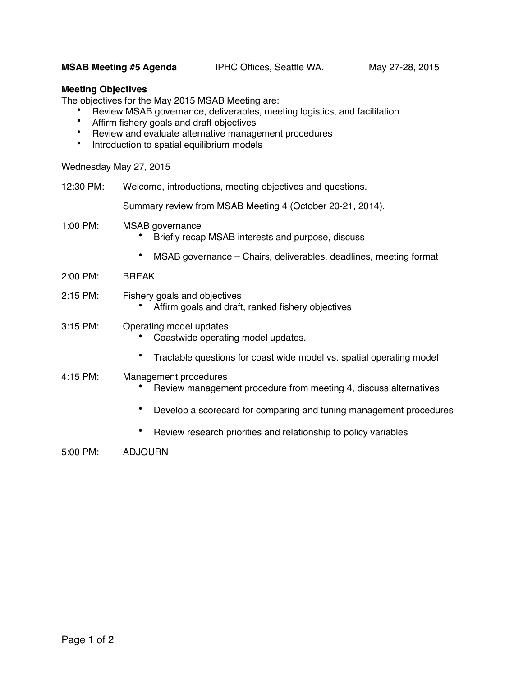# **MSAB Meeting #5 Agenda** IPHC Offices, Seattle WA. May 27-28, 2015

## **Meeting Objectives**

The objectives for the May 2015 MSAB Meeting are:

- Review MSAB governance, deliverables, meeting logistics, and facilitation
- Affirm fishery goals and draft objectives
- Review and evaluate alternative management procedures
- Introduction to spatial equilibrium models

#### Wednesday May 27, 2015

| 12:30 PM:          | Welcome, introductions, meeting objectives and questions.                                 |
|--------------------|-------------------------------------------------------------------------------------------|
|                    | Summary review from MSAB Meeting 4 (October 20-21, 2014).                                 |
| 1:00 PM:           | MSAB governance<br>Briefly recap MSAB interests and purpose, discuss                      |
|                    | MSAB governance – Chairs, deliverables, deadlines, meeting format                         |
| 2:00 PM:           | <b>BREAK</b>                                                                              |
| $2:15$ PM:         | Fishery goals and objectives<br>Affirm goals and draft, ranked fishery objectives         |
| 3:15 PM:           | Operating model updates<br>Coastwide operating model updates.                             |
|                    | Tractable questions for coast wide model vs. spatial operating model                      |
| $4:15 \text{ PM}:$ | Management procedures<br>Review management procedure from meeting 4, discuss alternatives |
|                    | Develop a scorecard for comparing and tuning management procedures                        |
|                    | Review research priorities and relationship to policy variables                           |

## 5:00 PM: ADJOURN